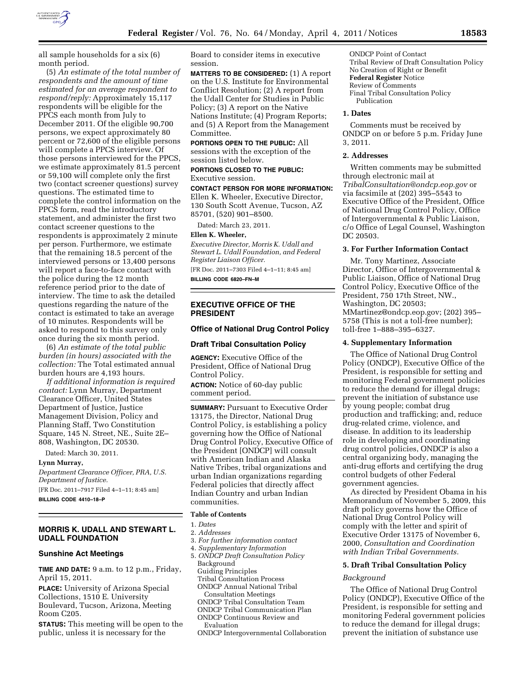

all sample households for a six (6) month period.

(5) *An estimate of the total number of respondents and the amount of time estimated for an average respondent to respond/reply:* Approximately 15,117 respondents will be eligible for the PPCS each month from July to December 2011. Of the eligible 90,700 persons, we expect approximately 80 percent or 72,600 of the eligible persons will complete a PPCS interview. Of those persons interviewed for the PPCS, we estimate approximately 81.5 percent or 59,100 will complete only the first two (contact screener questions) survey questions. The estimated time to complete the control information on the PPCS form, read the introductory statement, and administer the first two contact screener questions to the respondents is approximately 2 minute per person. Furthermore, we estimate that the remaining 18.5 percent of the interviewed persons or 13,400 persons will report a face-to-face contact with the police during the 12 month reference period prior to the date of interview. The time to ask the detailed questions regarding the nature of the contact is estimated to take an average of 10 minutes. Respondents will be asked to respond to this survey only once during the six month period.

(6) *An estimate of the total public burden (in hours) associated with the collection:* The Total estimated annual burden hours are 4,193 hours.

*If additional information is required contact:* Lynn Murray, Department Clearance Officer, United States Department of Justice, Justice Management Division, Policy and Planning Staff, Two Constitution Square, 145 N. Street, NE., Suite 2E– 808, Washington, DC 20530.

Dated: March 30, 2011.

#### **Lynn Murray,**

*Department Clearance Officer, PRA, U.S. Department of Justice.*  [FR Doc. 2011–7917 Filed 4–1–11; 8:45 am]

**BILLING CODE 4410–18–P** 

# **MORRIS K. UDALL AND STEWART L. UDALL FOUNDATION**

## **Sunshine Act Meetings**

**TIME AND DATE:** 9 a.m. to 12 p.m., Friday, April 15, 2011.

**PLACE:** University of Arizona Special Collections, 1510 E. University Boulevard, Tucson, Arizona, Meeting Room C205.

**STATUS:** This meeting will be open to the public, unless it is necessary for the

Board to consider items in executive session.

**MATTERS TO BE CONSIDERED:** (1) A report on the U.S. Institute for Environmental Conflict Resolution; (2) A report from the Udall Center for Studies in Public Policy; (3) A report on the Native Nations Institute; (4) Program Reports; and (5) A Report from the Management Committee.

**PORTIONS OPEN TO THE PUBLIC:** All sessions with the exception of the session listed below.

## **PORTIONS CLOSED TO THE PUBLIC:**  Executive session.

### **CONTACT PERSON FOR MORE INFORMATION:**

Ellen K. Wheeler, Executive Director, 130 South Scott Avenue, Tucson, AZ 85701, (520) 901–8500.

Dated: March 23, 2011.

## **Ellen K. Wheeler,**

*Executive Director, Morris K. Udall and Stewart L. Udall Foundation, and Federal Register Liaison Officer.*  [FR Doc. 2011–7303 Filed 4–1–11; 8:45 am]

**BILLING CODE 6820–FN–M** 

# **EXECUTIVE OFFICE OF THE PRESIDENT**

## **Office of National Drug Control Policy**

### **Draft Tribal Consultation Policy**

**AGENCY:** Executive Office of the President, Office of National Drug Control Policy.

**ACTION:** Notice of 60-day public comment period.

**SUMMARY:** Pursuant to Executive Order 13175, the Director, National Drug Control Policy, is establishing a policy governing how the Office of National Drug Control Policy, Executive Office of the President [ONDCP] will consult with American Indian and Alaska Native Tribes, tribal organizations and urban Indian organizations regarding Federal policies that directly affect Indian Country and urban Indian communities.

### **Table of Contents**

#### 1. *Dates*

#### 2. *Addresses*

- 3. *For further information contact*
- 4. *Supplementary Information*
- 5. *ONDCP Draft Consultation Policy*  **Background**
- Guiding Principles
- Tribal Consultation Process
- ONDCP Annual National Tribal Consultation Meetings
- ONDCP Tribal Consultation Team
- ONDCP Tribal Communication Plan
- ONDCP Continuous Review and
- Evaluation
- ONDCP Intergovernmental Collaboration

ONDCP Point of Contact Tribal Review of Draft Consultation Policy No Creation of Right or Benefit **Federal Register** Notice Review of Comments Final Tribal Consultation Policy Publication

## **1. Dates**

Comments must be received by ONDCP on or before 5 p.m. Friday June 3, 2011.

### **2. Addresses**

Written comments may be submitted through electronic mail at *[TribalConsultation@ondcp.eop.gov](mailto:TribalConsultation@ondcp.eop.gov)* or via facsimile at (202) 395–5543 to Executive Office of the President, Office of National Drug Control Policy, Office of Intergovernmental & Public Liaison, c/o Office of Legal Counsel, Washington DC 20503.

### **3. For Further Information Contact**

Mr. Tony Martinez, Associate Director, Office of Intergovernmental & Public Liaison, Office of National Drug Control Policy, Executive Office of the President, 750 17th Street, NW., Washington, DC 20503; [MMartinez@ondcp.eop.gov;](mailto:MMartinez@ondcp.eop.gov) (202) 395– 5758 (This is not a toll-free number); toll-free 1–888–395–6327.

### **4. Supplementary Information**

The Office of National Drug Control Policy (ONDCP), Executive Office of the President, is responsible for setting and monitoring Federal government policies to reduce the demand for illegal drugs; prevent the initiation of substance use by young people; combat drug production and trafficking; and, reduce drug-related crime, violence, and disease. In addition to its leadership role in developing and coordinating drug control policies, ONDCP is also a central organizing body, managing the anti-drug efforts and certifying the drug control budgets of other Federal government agencies.

As directed by President Obama in his Memorandum of November 5, 2009, this draft policy governs how the Office of National Drug Control Policy will comply with the letter and spirit of Executive Order 13175 of November 6, 2000, *Consultation and Coordination with Indian Tribal Governments.* 

### **5. Draft Tribal Consultation Policy**

#### *Background*

The Office of National Drug Control Policy (ONDCP), Executive Office of the President, is responsible for setting and monitoring Federal government policies to reduce the demand for illegal drugs; prevent the initiation of substance use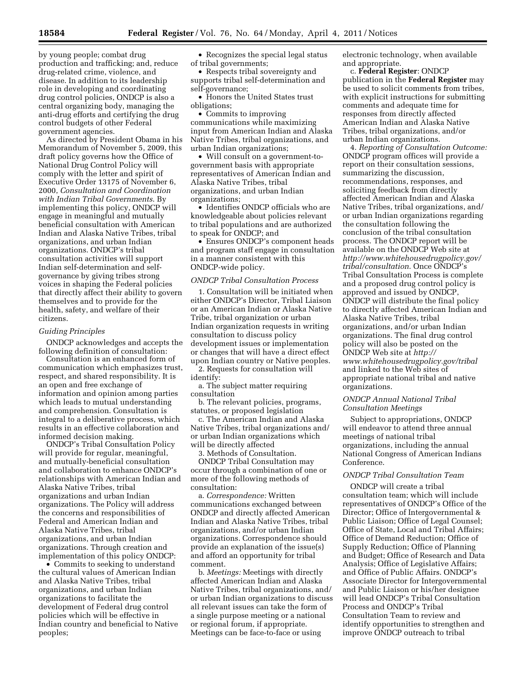by young people; combat drug production and trafficking; and, reduce drug-related crime, violence, and disease. In addition to its leadership role in developing and coordinating drug control policies, ONDCP is also a central organizing body, managing the anti-drug efforts and certifying the drug control budgets of other Federal government agencies.

As directed by President Obama in his Memorandum of November 5, 2009, this draft policy governs how the Office of National Drug Control Policy will comply with the letter and spirit of Executive Order 13175 of November 6, 2000, *Consultation and Coordination with Indian Tribal Governments*. By implementing this policy, ONDCP will engage in meaningful and mutually beneficial consultation with American Indian and Alaska Native Tribes, tribal organizations, and urban Indian organizations. ONDCP's tribal consultation activities will support Indian self-determination and selfgovernance by giving tribes strong voices in shaping the Federal policies that directly affect their ability to govern themselves and to provide for the health, safety, and welfare of their citizens.

### *Guiding Principles*

ONDCP acknowledges and accepts the following definition of consultation:

Consultation is an enhanced form of communication which emphasizes trust, respect, and shared responsibility. It is an open and free exchange of information and opinion among parties which leads to mutual understanding and comprehension. Consultation is integral to a deliberative process, which results in an effective collaboration and informed decision making.

ONDCP's Tribal Consultation Policy will provide for regular, meaningful, and mutually-beneficial consultation and collaboration to enhance ONDCP's relationships with American Indian and Alaska Native Tribes, tribal organizations and urban Indian organizations. The Policy will address the concerns and responsibilities of Federal and American Indian and Alaska Native Tribes, tribal organizations, and urban Indian organizations. Through creation and implementation of this policy ONDCP:

• Commits to seeking to understand the cultural values of American Indian and Alaska Native Tribes, tribal organizations, and urban Indian organizations to facilitate the development of Federal drug control policies which will be effective in Indian country and beneficial to Native peoples;

• Recognizes the special legal status of tribal governments;

• Respects tribal sovereignty and supports tribal self-determination and self-governance;

• Honors the United States trust obligations;

• Commits to improving communications while maximizing input from American Indian and Alaska Native Tribes, tribal organizations, and urban Indian organizations;

• Will consult on a government-togovernment basis with appropriate representatives of American Indian and Alaska Native Tribes, tribal organizations, and urban Indian organizations;

• Identifies ONDCP officials who are knowledgeable about policies relevant to tribal populations and are authorized to speak for ONDCP; and

• Ensures ONDCP's component heads and program staff engage in consultation in a manner consistent with this ONDCP-wide policy.

#### *ONDCP Tribal Consultation Process*

1. Consultation will be initiated when either ONDCP's Director, Tribal Liaison or an American Indian or Alaska Native Tribe, tribal organization or urban Indian organization requests in writing consultation to discuss policy development issues or implementation or changes that will have a direct effect upon Indian country or Native peoples.

2. Requests for consultation will identify:

a. The subject matter requiring consultation

b. The relevant policies, programs, statutes, or proposed legislation

c. The American Indian and Alaska Native Tribes, tribal organizations and/ or urban Indian organizations which will be directly affected

3. Methods of Consultation.

ONDCP Tribal Consultation may occur through a combination of one or more of the following methods of consultation:

a. *Correspondence:* Written communications exchanged between ONDCP and directly affected American Indian and Alaska Native Tribes, tribal organizations, and/or urban Indian organizations. Correspondence should provide an explanation of the issue(s) and afford an opportunity for tribal comment.

b. *Meetings:* Meetings with directly affected American Indian and Alaska Native Tribes, tribal organizations, and/ or urban Indian organizations to discuss all relevant issues can take the form of a single purpose meeting or a national or regional forum, if appropriate. Meetings can be face-to-face or using

electronic technology, when available and appropriate.

c. **Federal Register**: ONDCP publication in the **Federal Register** may be used to solicit comments from tribes, with explicit instructions for submitting comments and adequate time for responses from directly affected American Indian and Alaska Native Tribes, tribal organizations, and/or urban Indian organizations.

4. *Reporting of Consultation Outcome:*  ONDCP program offices will provide a report on their consultation sessions, summarizing the discussion, recommendations, responses, and soliciting feedback from directly affected American Indian and Alaska Native Tribes, tribal organizations, and/ or urban Indian organizations regarding the consultation following the conclusion of the tribal consultation process. The ONDCP report will be available on the ONDCP Web site at *[http://www.whitehousedrugpolicy.gov/](http://www.whitehousedrugpolicy.gov/tribal/consultation) [tribal/consultation](http://www.whitehousedrugpolicy.gov/tribal/consultation)*. Once ONDCP's Tribal Consultation Process is complete and a proposed drug control policy is approved and issued by ONDCP, ONDCP will distribute the final policy to directly affected American Indian and Alaska Native Tribes, tribal organizations, and/or urban Indian organizations. The final drug control policy will also be posted on the ONDCP Web site at *[http://](http://www.whitehousedrugpolicy.gov/tribal)  [www.whitehousedrugpolicy.gov/tribal](http://www.whitehousedrugpolicy.gov/tribal)*  and linked to the Web sites of appropriate national tribal and native organizations.

## *ONDCP Annual National Tribal Consultation Meetings*

Subject to appropriations, ONDCP will endeavor to attend three annual meetings of national tribal organizations, including the annual National Congress of American Indians Conference.

## *ONDCP Tribal Consultation Team*

ONDCP will create a tribal consultation team; which will include representatives of ONDCP's Office of the Director; Office of Intergovernmental & Public Liaison; Office of Legal Counsel; Office of State, Local and Tribal Affairs; Office of Demand Reduction; Office of Supply Reduction; Office of Planning and Budget; Office of Research and Data Analysis; Office of Legislative Affairs; and Office of Public Affairs. ONDCP's Associate Director for Intergovernmental and Public Liaison or his/her designee will lead ONDCP's Tribal Consultation Process and ONDCP's Tribal Consultation Team to review and identify opportunities to strengthen and improve ONDCP outreach to tribal